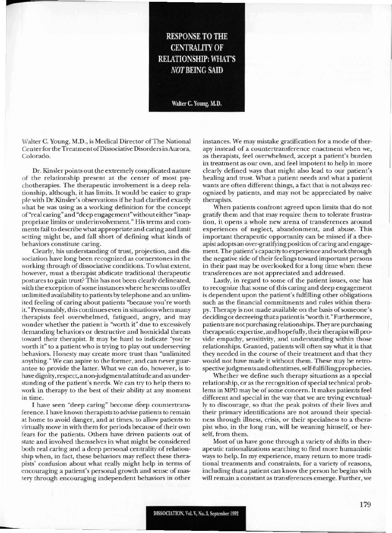## **RESPONSE TO THE CENTRALITY OF RELATIONSHIP: WHAT'S NOT BEING SAID**

Walter C. Young, M.D.

Walter C. Young, M.D., is Medical Director of The National Center for the Treatment of Dissociative Disorders in Aurora, Colorado.

Dr. Kinsler points out the extremely complicated nature of the relationship present at the center of most psychotherapies. The therapeutic involvement is a deep relationship, although, it has limits. It would be easier to grapple with Dr.Kinsler's observations if he had clarified exactly what he was using as a working definition for the concept of "real caring" and "deep engagement" without either "inappropriate limits or underinvolvement." His terms and comments fail to describe what appropriate and caring and limit setting might be, and fall short of defining what kinds of behaviors constitute caring.

Clearly, his understanding of trust, projection, and dissociation have long been recognized as cornerstones in the working through of dissociative conditions. To what extent, however, must a therapist abdicate traditional therapeutic postures to gain trust? This has not been clearly delineated, with the exception of some instances where he seems to offer unlimited availability to patients by telephone and an unlimited feeling of caring about patients "because you're worth it." Presumably, this continues even in situations when many therapists feel overwhelmed, fatigued, angry, and may wonder whether the patient is "worth it" due to excessively demanding behaviors or destructive and homicidal threats toward their therapist. It may be hard to indicate "you're worth it" to a patient who is trying to play out underserving behaviors. Honesty may create more trust than "unlimited anything." We can aspire to the former, and can never guarantee to provide the latter. What we can do, however, is to have dignity, respect, a non-judgmental attitude and an understanding of the patient's needs. We can try to help them to work in therapy to the best of their ability at any moment in time.

I have seen "deep caring" become deep countertransference. I have known therapists to advise patients to remain at home to avoid danger, and at times, to allow patients to virtually move in with them for periods because of their own fears for the patients. Others have driven patients out of state and involved themselves in what might be considered both real caring and a deep personal centrality of relationship when, in fact, these behaviors may reflect these therapists' confusion about what really might help in terms of encouraging a patient's personal growth and sense of mastery through encouraging independent behaviors in other

instances. We may mistake gratification for a mode of therapy instead of a countertransference enactment when we, as therapists, feel overwhelmed, accept a patient's burden in treatment as our own, and feel impotent to help in more clearly defined ways that might also lead to our patient's healing and trust. What a patient needs and what a patient wants are often different things, a fact that is not always recognized by patients, and may not be appreciated by naive therapists.

When patients confront agreed upon limits that do not gratify them and that may require them to tolerate frustration, it opens a whole new arena of transferences around experiences of neglect, abandonment, and abuse. This important therapeutic opportunity can be missed if a therapist adopts an over-gratifying position of caring and engagement. The patient's capacity to experience and work through the negative side of their feelings toward important persons in their past may be overlooked for a long time when these transferences are not appreciated and addressed.

Lastly, in regard to some of the patient issues, one has to recognize that some of this caring and deep engagement is dependent upon the patient's fulfilling other obligations such as the financial commitments and rules within therapy. Therapy is not made available on the basis of someone's deciding or decreeing that a patient is "worth it." Furthermore, patients are not purchasing relationships. They are purchasing therapeutic expertise, and hopefully, their therapist will provide empathy, sensitivity, and understanding within those relationships. Granted, patients will often say what it is that they needed in the course of their treatment and that they would not have made it without them. These may be retrospective judgments and oftentimes, self-fulfilling prophecies.

Whether we define such therapy situations as a special relationship, or as the recognition of special technical problems in MPD may be of some concern. It makes patients feel different and special in the way that we are trying eventually to discourage, so that the peak points of their lives and their primary identifications are not around their specialness through illness, crisis, or their specialness to a therapist who, in the long run, will be weaning himself, or herself, from them.

Most of us have gone through a variety of shifts in therapeutic rationalizations searching to find more humanistic ways to help. In my experience, many return to more traditional treatments and constraints, for a variety of reasons, including that a patient can know the person he begins with will remain a constant as transferences emerge. Further, we